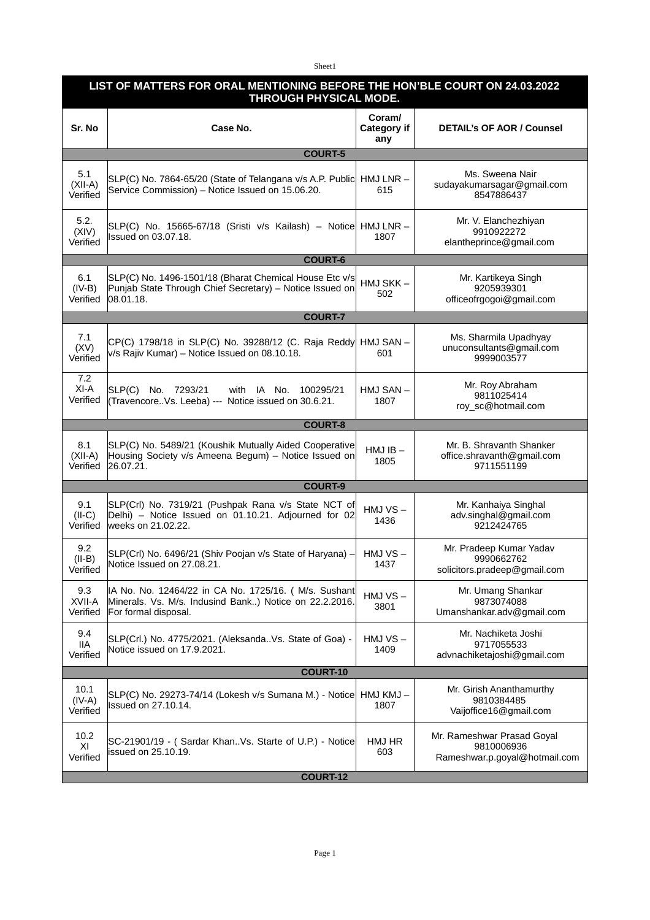Sheet1

| LIST OF MATTERS FOR ORAL MENTIONING BEFORE THE HON'BLE COURT ON 24.03.2022<br>THROUGH PHYSICAL MODE. |                                                                                                                                         |                              |                                                                           |  |  |
|------------------------------------------------------------------------------------------------------|-----------------------------------------------------------------------------------------------------------------------------------------|------------------------------|---------------------------------------------------------------------------|--|--|
| Sr. No                                                                                               | Case No.                                                                                                                                | Coraml<br>Category if<br>any | <b>DETAIL's OF AOR / Counsel</b>                                          |  |  |
| <b>COURT-5</b>                                                                                       |                                                                                                                                         |                              |                                                                           |  |  |
| 5.1<br>$(XII-A)$<br>Verified                                                                         | SLP(C) No. 7864-65/20 (State of Telangana v/s A.P. Public<br>Service Commission) - Notice Issued on 15.06.20.                           | $HMJ LNR -$<br>615           | Ms. Sweena Nair<br>sudayakumarsagar@gmail.com<br>8547886437               |  |  |
| 5.2.<br>(XIV)<br>Verified                                                                            | SLP(C) No. 15665-67/18 (Sristi v/s Kailash) - Notice<br>Issued on 03.07.18.                                                             | HMJ LNR-<br>1807             | Mr. V. Elanchezhiyan<br>9910922272<br>elantheprince@gmail.com             |  |  |
|                                                                                                      | <b>COURT-6</b>                                                                                                                          |                              |                                                                           |  |  |
| 6.1<br>$(IV-B)$<br>Verified                                                                          | SLP(C) No. 1496-1501/18 (Bharat Chemical House Etc v/s<br>Punjab State Through Chief Secretary) - Notice Issued on<br> 08.01.18.        | HMJ SKK-<br>502              | Mr. Kartikeya Singh<br>9205939301<br>officeofrgogoi@gmail.com             |  |  |
|                                                                                                      | <b>COURT-7</b>                                                                                                                          |                              |                                                                           |  |  |
| 7.1<br>(XV)<br>Verified                                                                              | CP(C) 1798/18 in SLP(C) No. 39288/12 (C. Raja Reddy<br>v/s Rajiv Kumar) - Notice Issued on 08.10.18.                                    | HMJ SAN-<br>601              | Ms. Sharmila Upadhyay<br>unuconsultants@gmail.com<br>9999003577           |  |  |
| 7.2<br>XI-A<br>Verified                                                                              | SLP(C) No. 7293/21<br>with IA No.<br>100295/21<br>(TravencoreVs. Leeba) --- Notice issued on 30.6.21.                                   | HMJ SAN-<br>1807             | Mr. Roy Abraham<br>9811025414<br>roy_sc@hotmail.com                       |  |  |
|                                                                                                      | <b>COURT-8</b>                                                                                                                          |                              |                                                                           |  |  |
| 8.1<br>$(XII-A)$<br>Verified                                                                         | SLP(C) No. 5489/21 (Koushik Mutually Aided Cooperative<br>Housing Society v/s Ameena Begum) - Notice Issued on<br>26.07.21.             | $HMJIB -$<br>1805            | Mr. B. Shravanth Shanker<br>office.shravanth@gmail.com<br>9711551199      |  |  |
|                                                                                                      | <b>COURT-9</b>                                                                                                                          |                              |                                                                           |  |  |
| 9.1<br>$(II-C)$<br>Verified                                                                          | SLP(Crl) No. 7319/21 (Pushpak Rana v/s State NCT of<br>Delhi) - Notice Issued on 01.10.21. Adjourned for 02<br>weeks on 21.02.22.       | HMJ VS-<br>1436              | Mr. Kanhaiya Singhal<br>adv.singhal@gmail.com<br>9212424765               |  |  |
| 9.2<br>$(II-B)$<br>Verified                                                                          | SLP(Crl) No. 6496/21 (Shiv Poojan v/s State of Haryana) -<br>Notice Issued on 27.08.21.                                                 | $HMJVS -$<br>1437            | Mr. Pradeep Kumar Yadav<br>9990662762<br>solicitors.pradeep@gmail.com     |  |  |
| 9.3<br>XVII-A<br>Verified                                                                            | IA No. No. 12464/22 in CA No. 1725/16. ( M/s. Sushant<br>Minerals. Vs. M/s. Indusind Bank) Notice on 22.2.2016.<br>For formal disposal. | $HMJVS -$<br>3801            | Mr. Umang Shankar<br>9873074088<br>Umanshankar.adv@gmail.com              |  |  |
| 9.4<br><b>IIA</b><br>Verified                                                                        | SLP(Crl.) No. 4775/2021. (AleksandaVs. State of Goa) -<br>Notice issued on 17.9.2021.                                                   | HMJ VS-<br>1409              | Mr. Nachiketa Joshi<br>9717055533<br>advnachiketajoshi@gmail.com          |  |  |
| <b>COURT-10</b>                                                                                      |                                                                                                                                         |                              |                                                                           |  |  |
| 10.1<br>$(IV-A)$<br>Verified                                                                         | SLP(C) No. 29273-74/14 (Lokesh v/s Sumana M.) - Notice<br>Issued on 27.10.14.                                                           | HMJ KMJ-<br>1807             | Mr. Girish Ananthamurthy<br>9810384485<br>Vaijoffice16@gmail.com          |  |  |
| 10.2<br>XI<br>Verified                                                                               | SC-21901/19 - (Sardar KhanVs. Starte of U.P.) - Notice<br>issued on 25.10.19.                                                           | HMJ HR<br>603                | Mr. Rameshwar Prasad Goyal<br>9810006936<br>Rameshwar.p.goyal@hotmail.com |  |  |
| <b>COURT-12</b>                                                                                      |                                                                                                                                         |                              |                                                                           |  |  |